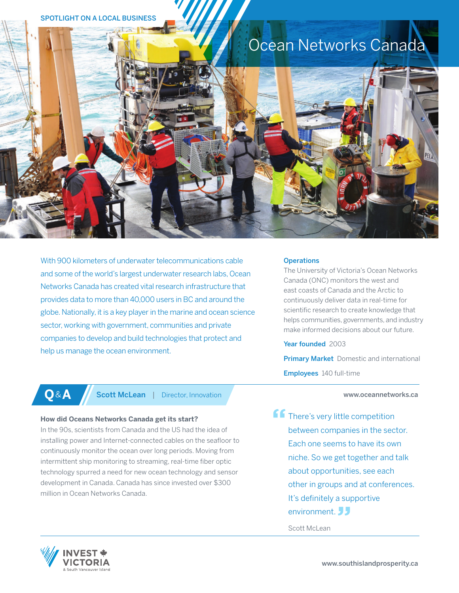# SPOTLIGHT ON A LOCAL BUSINESS

# Ocean Networks Canada



With 900 kilometers of underwater telecommunications cable and some of the world's largest underwater research labs, Ocean Networks Canada has created vital research infrastructure that provides data to more than 40,000 users in BC and around the globe. Nationally, it is a key player in the marine and ocean science sector, working with government, communities and private companies to develop and build technologies that protect and help us manage the ocean environment.

**Operations** 

The University of Victoria's Ocean Networks Canada (ONC) monitors the west and east coasts of Canada and the Arctic to continuously deliver data in real-time for scientific research to create knowledge that helps communities, governments, and industry make informed decisions about our future.

Year founded 2003

**Primary Market** Domestic and international Employees 140 full-time

# www.oceannetworks.ca

**ff** There's very little competition between companies in the sector. Each one seems to have its own niche. So we get together and talk about opportunities, see each other in groups and at conferences. It's definitely a supportive environment.

Scott McLean



**Q&A** Scott McLean | Director, Innovation

# **How did Oceans Networks Canada get its start?**

In the 90s, scientists from Canada and the US had the idea of installing power and Internet-connected cables on the seafloor to continuously monitor the ocean over long periods. Moving from intermittent ship monitoring to streaming, real-time fiber optic technology spurred a need for new ocean technology and sensor development in Canada. Canada has since invested over \$300 million in Ocean Networks Canada.